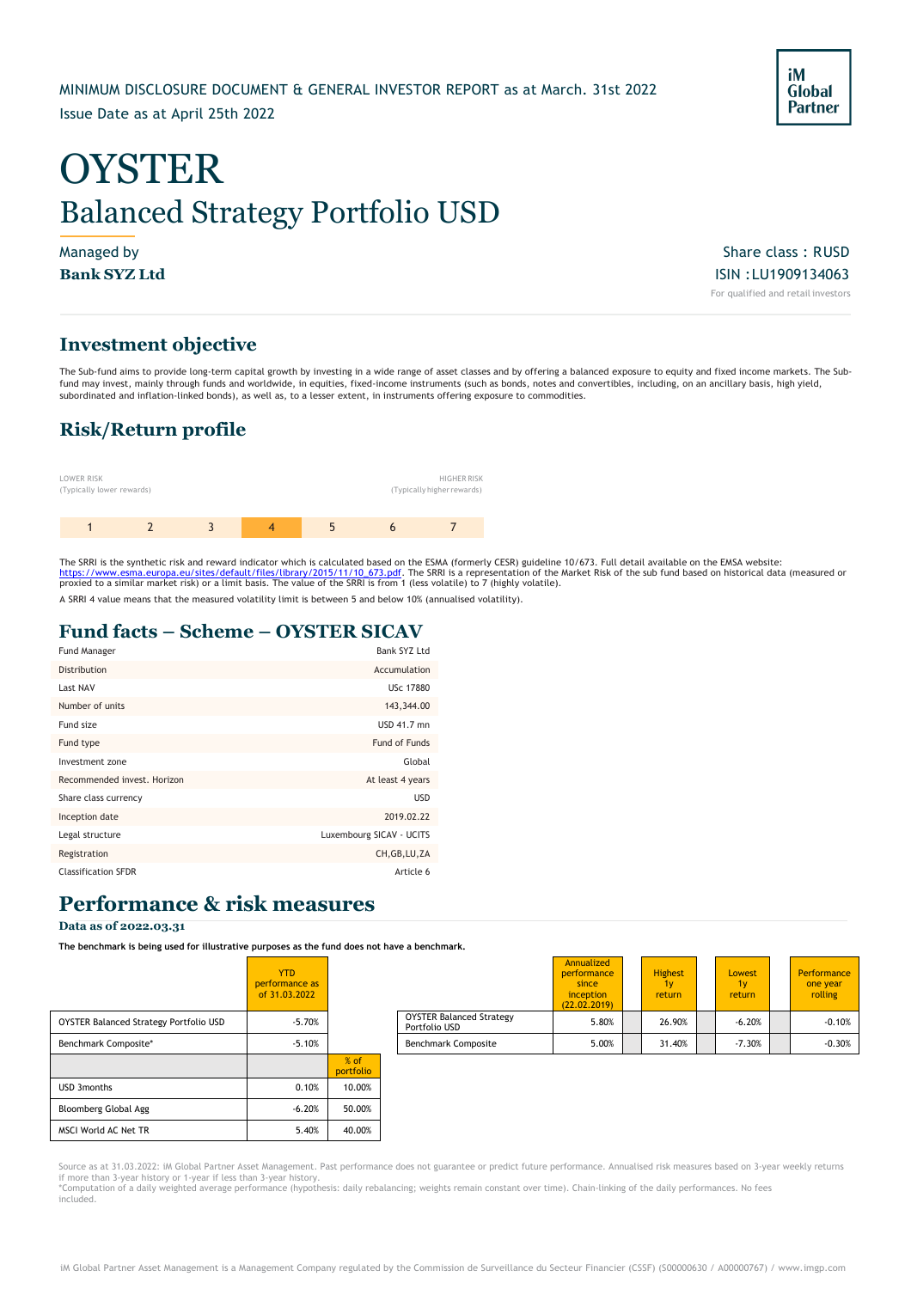# **OYSTER** Balanced Strategy Portfolio USD

Managed by Share class : RUSD  $\blacksquare$ **Bank SYZ Ltd** ISIN :LU1909134063 For qualified and retail investors

### **Investment objective**

The Sub-fund aims to provide long-term capital growth by investing in a wide range of asset classes and by offering a balanced exposure to equity and fixed income markets. The Subfund may invest, mainly through funds and worldwide, in equities, fixed-income instruments (such as bonds, notes and convertibles, including, on an ancillary basis, high yield, subordinated and inflation-linked bonds), as well as, to a lesser extent, in instruments offering exposure to commodities.

### **Risk/Return profile**



The SRRI is the synthetic risk and reward indicator which is calculated based on the ESMA (formerly CESR) guideline 10/673. Full detail available on the EMSA website: <u>https://www.esma.europa.eu/sites/default/files/library/2015/11/10\_673.pdf</u>. The SRRI is a representation of the Market Risk of the sub fund based on historical data (measured or<br>proxied to a similar market risk) or a limi

A SRRI 4 value means that the measured volatility limit is between 5 and below 10% (annualised volatility).

### **Fund facts – Scheme – OYSTER SICAV**

| <b>Fund Manager</b>         | Bank SYZ Ltd             |
|-----------------------------|--------------------------|
| Distribution                | Accumulation             |
| Last NAV                    | USc 17880                |
| Number of units             | 143,344.00               |
| Fund size                   | USD 41.7 mn              |
| Fund type                   | Fund of Funds            |
| Investment zone             | Global                   |
| Recommended invest. Horizon | At least 4 years         |
| Share class currency        | <b>USD</b>               |
| Inception date              | 2019.02.22               |
| Legal structure             | Luxembourg SICAV - UCITS |
| Registration                | CH, GB, LU, ZA           |
| <b>Classification SFDR</b>  | Article 6                |

### **Performance & risk measures**

### **Data as of 2022.03.31**

**The benchmark is being used for illustrative purposes as the fund does not have a benchmark.**

|                                        | <b>YTD</b><br>performance as<br>of 31.03.2022 |                     |                                                  |
|----------------------------------------|-----------------------------------------------|---------------------|--------------------------------------------------|
| OYSTER Balanced Strategy Portfolio USD | $-5.70%$                                      |                     | <b>OYSTER Balanced Strategy</b><br>Portfolio USD |
| Benchmark Composite*                   | $-5.10%$                                      |                     | <b>Benchmark Composite</b>                       |
|                                        |                                               | $%$ of<br>portfolio |                                                  |
| <b>USD 3months</b>                     | 0.10%                                         | 10.00%              |                                                  |
| Bloomberg Global Agg                   | $-6.20%$                                      | 50.00%              |                                                  |
| MSCI World AC Net TR                   | 5.40%                                         | 40.00%              |                                                  |

|                                        | <b>YTD</b><br>performance as<br>of 31.03.2022 |                                   |                                                  | Annualized<br>performance<br>since<br>inception<br>(22.02.2019) | <b>Highest</b><br>return | <b>Lowest</b><br>1v<br>return | Performance<br>one year<br>rolling |
|----------------------------------------|-----------------------------------------------|-----------------------------------|--------------------------------------------------|-----------------------------------------------------------------|--------------------------|-------------------------------|------------------------------------|
| OYSTER Balanced Strategy Portfolio USD | $-5.70%$                                      |                                   | <b>OYSTER Balanced Strategy</b><br>Portfolio USD | 5.80%                                                           | 26.90%                   | $-6.20%$                      | $-0.10%$                           |
| Benchmark Composite*                   | $-5.10%$                                      |                                   | <b>Benchmark Composite</b>                       | 5.00%                                                           | 31.40%                   | $-7.30%$                      | $-0.30%$                           |
|                                        |                                               | and the state of the state of the |                                                  |                                                                 |                          |                               |                                    |

Source as at 31.03.2022: iM Global Partner Asset Management. Past performance does not guarantee or predict future performance. Annualised risk measures based on 3-year weekly returns<br>if more than 3-year history or 1-year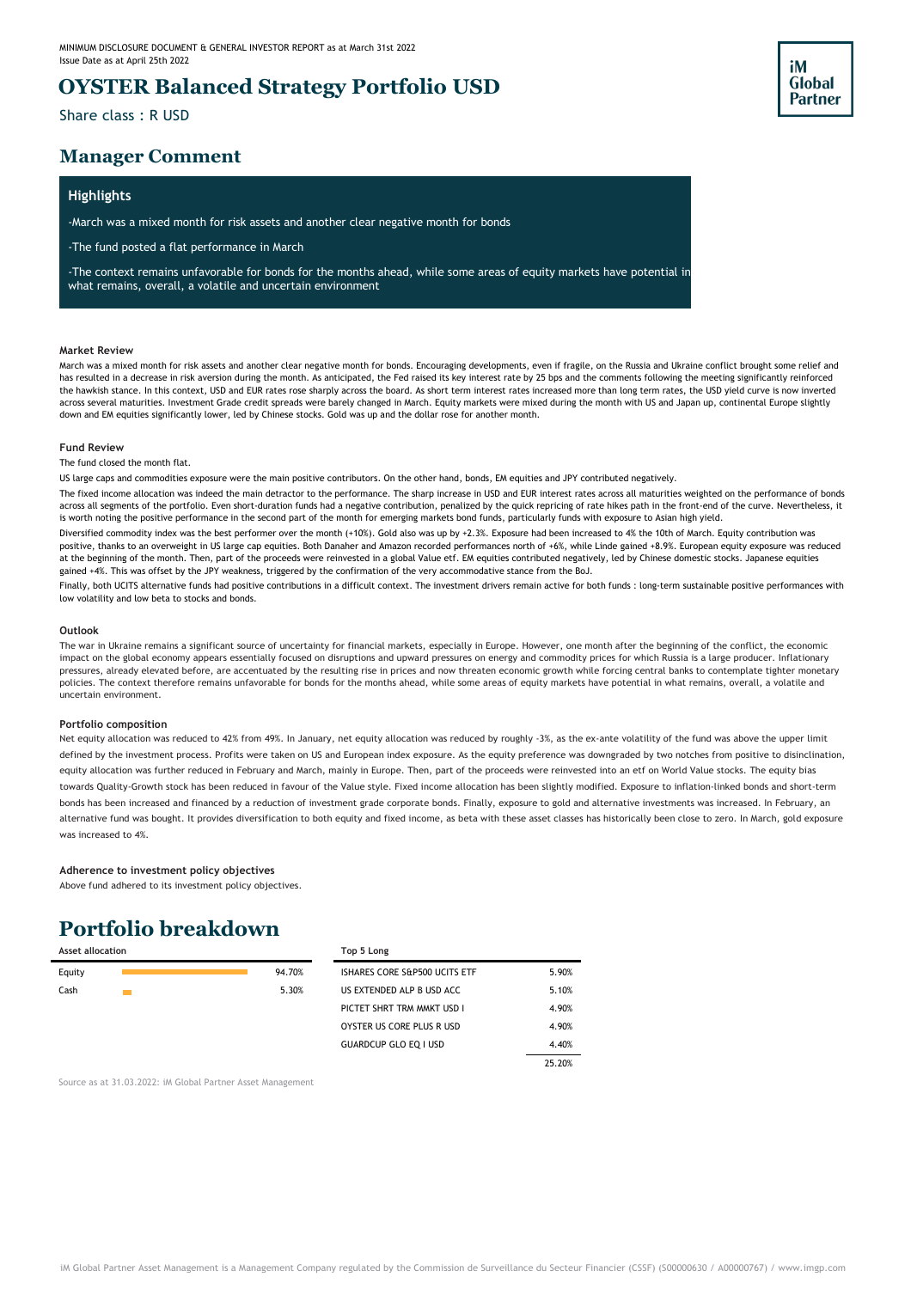### **OYSTER Balanced Strategy Portfolio USD**

Share class : R USD

### **Manager Comment**

### **Highlights**

-March was a mixed month for risk assets and another clear negative month for bonds

-The fund posted a flat performance in March

-The context remains unfavorable for bonds for the months ahead, while some areas of equity markets have potential in what remains, overall, a volatile and uncertain environment

#### **Market Review**

March was a mixed month for risk assets and another clear negative month for bonds. Encouraging developments, even if fragile, on the Russia and Ukraine conflict brought some relief and has resulted in a decrease in risk aversion during the month. As anticipated, the Fed raised its key interest rate by 25 bps and the comments following the meeting significantly reinforced the hawkish stance. In this context, USD and EUR rates rose sharply across the board. As short term interest rates increased more than long term rates, the USD yield curve is now inverted across several maturities. Investment Grade credit spreads were barely changed in March. Equity markets were mixed during the month with US and Japan up, continental Europe slightly down and EM equities significantly lower, led by Chinese stocks. Gold was up and the dollar rose for another month.

#### **Fund Review**

The fund closed the month flat.

US large caps and commodities exposure were the main positive contributors. On the other hand, bonds, EM equities and JPY contributed negatively.

The fixed income allocation was indeed the main detractor to the performance. The sharp increase in USD and EUR interest rates across all maturities weighted on the performance of bonds across all segments of the portfolio. Even short-duration funds had a negative contribution, penalized by the quick repricing of rate hikes path in the front-end of the curve. Nevertheless, it is worth noting the positive performance in the second part of the month for emerging markets bond funds, particularly funds with exposure to Asian high yield.

Diversified commodity index was the best performer over the month (+10%). Gold also was up by +2.3%. Exposure had been increased to 4% the 10th of March. Equity contribution was positive, thanks to an overweight in US large cap equities. Both Danaher and Amazon recorded performances north of +6%, while Linde gained +8.9%. European equity exposure was reduced at the beginning of the month. Then, part of the proceeds were reinvested in a global Value etf. EM equities contributed negatively, led by Chinese domestic stocks. Japanese equities gained +4%. This was offset by the JPY weakness, triggered by the confirmation of the very accommodative stance from the BoJ.

Finally, both UCITS alternative funds had positive contributions in a difficult context. The investment drivers remain active for both funds : long-term sustainable positive performances with low volatility and low beta to stocks and bonds.

#### **Outlook**

The war in Ukraine remains a significant source of uncertainty for financial markets, especially in Europe. However, one month after the beginning of the conflict, the economic impact on the global economy appears essentially focused on disruptions and upward pressures on energy and commodity prices for which Russia is a large producer. Inflationary pressures, already elevated before, are accentuated by the resulting rise in prices and now threaten economic growth while forcing central banks to contemplate tighter monetary policies. The context therefore remains unfavorable for bonds for the months ahead, while some areas of equity markets have potential in what remains, overall, a volatile and uncertain environment.

#### **Portfolio composition**

Net equity allocation was reduced to 42% from 49%. In January, net equity allocation was reduced by roughly -3%, as the ex-ante volatility of the fund was above the upper limit defined by the investment process. Profits were taken on US and European index exposure. As the equity preference was downgraded by two notches from positive to disinclination, equity allocation was further reduced in February and March, mainly in Europe. Then, part of the proceeds were reinvested into an etf on World Value stocks. The equity bias towards Quality-Growth stock has been reduced in favour of the Value style. Fixed income allocation has been slightly modified. Exposure to inflation-linked bonds and short-term bonds has been increased and financed by a reduction of investment grade corporate bonds. Finally, exposure to gold and alternative investments was increased. In February, an alternative fund was bought. It provides diversification to both equity and fixed income, as beta with these asset classes has historically been close to zero. In March, gold exposure was increased to 4%.

#### **Adherence to investment policy objectives**

Above fund adhered to its investment policy objectives.

## **Portfolio breakdown**

| <b>Asset allocation</b> |        | Top 5 Long                    |        |
|-------------------------|--------|-------------------------------|--------|
| Equity                  | 94.70% | ISHARES CORE S&P500 UCITS ETF | 5.90%  |
| Cash                    | 5.30%  | US EXTENDED ALP B USD ACC.    | 5.10%  |
|                         |        | PICTET SHRT TRM MMKT USD I    | 4.90%  |
|                         |        | OYSTER US CORE PLUS R USD     | 4.90%  |
|                         |        | <b>GUARDCUP GLO EO I USD</b>  | 4.40%  |
|                         |        |                               | 25.20% |

Source as at 31.03.2022: iM Global Partner Asset Management

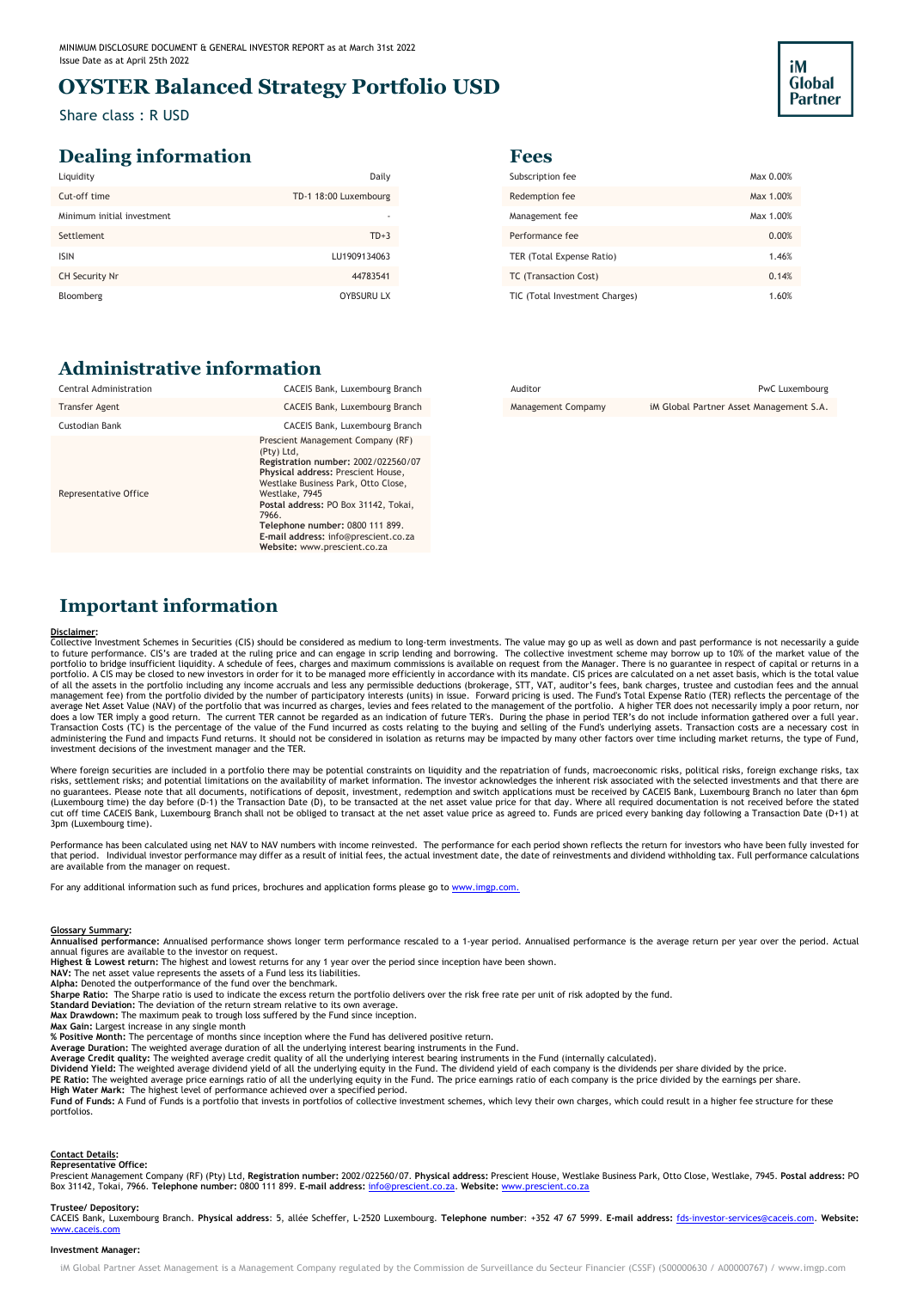### **OYSTER Balanced Strategy Portfolio USD**

Share class : R USD

### **Dealing information Fees**

| Liquidity                  | Daily                 | Subscription fee               | Max 0.00% |
|----------------------------|-----------------------|--------------------------------|-----------|
| Cut-off time               | TD-1 18:00 Luxembourg | Redemption fee                 | Max 1.00% |
| Minimum initial investment |                       | Management fee                 | Max 1.00% |
| Settlement                 | $TD+3$                | Performance fee                | 0.00%     |
| <b>ISIN</b>                | LU1909134063          | TER (Total Expense Ratio)      | 1.46%     |
| CH Security Nr             | 44783541              | TC (Transaction Cost)          | 0.14%     |
| Bloomberg                  | <b>OYBSURU LX</b>     | TIC (Total Investment Charges) | 1.60%     |
|                            |                       |                                |           |

| Subscription fee               | Max 0.00% |
|--------------------------------|-----------|
| Redemption fee                 | Max 1.00% |
| Management fee                 | Max 1.00% |
| Performance fee                | 0.00%     |
| TER (Total Expense Ratio)      | 1.46%     |
| <b>TC</b> (Transaction Cost)   | 0.14%     |
| TIC (Total Investment Charges) | 1.60%     |

iM **Global Partner** 

### **Administrative information**

| Central Administration | CACEIS Bank, Luxembourg Branch                                                                                                                                                                                                                                                                                                                    |
|------------------------|---------------------------------------------------------------------------------------------------------------------------------------------------------------------------------------------------------------------------------------------------------------------------------------------------------------------------------------------------|
| <b>Transfer Agent</b>  | CACEIS Bank, Luxembourg Branch                                                                                                                                                                                                                                                                                                                    |
| <b>Custodian Bank</b>  | CACEIS Bank, Luxembourg Branch                                                                                                                                                                                                                                                                                                                    |
| Representative Office  | Prescient Management Company (RF)<br>(Pty) Ltd,<br>Registration number: 2002/022560/07<br>Physical address: Prescient House,<br>Westlake Business Park, Otto Close,<br>Westlake, 7945<br>Postal address: PO Box 31142, Tokai,<br>7966.<br>Telephone number: 0800 111 899.<br>E-mail address: info@prescient.co.za<br>Website: www.prescient.co.za |

Management Compamy iM Global Partner Asset Management S.A.

### **Important information**

#### **Disclaimer:**

Collective Investment Schemes in Securities (CIS) should be considered as medium to long-term investments. The value may go up as well as down and past performance is not necessarily a guide<br>to future performance. CIS's ar portfolio to bridge insufficient liquidity. A schedule of fees, charges and maximum commissions is available on request from the Manager. There is no guarantee in respect of capital or returns in a<br>portfolio. A CIS may be investment decisions of the investment manager and the TER.

Where foreign securities are included in a portfolio there may be potential constraints on liquidity and the repatriation of funds, macroeconomic risks, political risks, foreign exchange risks, tax<br>risks, settlement risks; 3pm (Luxembourg time).

Performance has been calculated using net NAV to NAV numbers with income reinvested. The performance for each period shown reflects the return for investors who have been fully invested for that period. Individual investor performance may differ as a result of initial fees, the actual investment date, the date of reinvestments and dividend withholding tax. Full performance calculations are available from the manager on request.

For any additional information such as fund prices, brochures and application forms please go to www.imgp.com.

#### **Glossary Summary:**

**Annualised performance:** Annualised performance shows longer term performance rescaled to a 1-year period. Annualised performance is the average return per year over the period. Actual annual figures are available to the investor on request.

**Highest & Lowest return:** The highest and lowest returns for any 1 year over the period since inception have been shown.

**NAV:** The net asset value represents the assets of a Fund less its liabilities. **Alpha:** Denoted the outperformance of the fund over the benchmark.

**Sharpe Ratio:** The Sharpe ratio is used to indicate the excess return the portfolio delivers over the risk free rate per unit of risk adopted by the fund.

**Standard Deviation:** The deviation of the return stream relative to its own average.

Max Drawdown: The maximum peak to trough loss suffered by the Fund since inception.<br>Max Gain: Largest increase in any single month<br>% Positive Month: The percentage of months since inception where the Fund has delivered pos

**Average Duration:** The weighted average duration of all the underlying interest bearing instruments in the Fund.

**Average Credit quality:** The weighted average credit quality of all the underlying interest bearing instruments in the Fund (internally calculated).<br>**Dividend Yield:** The weighted average dividend yield of all the underly

**PE Ratio:** The weighted average price earnings ratio of all the underlying equity in the Fund. The price earnings ratio of each company is the price divided by the earnings per share.<br>**High Water Mark:** The highest level portfolios.

### **Contact Details: Representative Office:**

Prescient Management Company (RF) (Pty) Ltd, **Registration number:** 2002/022560/07. **Physical address:** Prescient House, Westlake Business Park, Otto Close, Westlake, 7945. **Postal address:** PO Box 31142, Tokai, 7966. **Telephone number:** 0800 111 899. **E-mail address:** [info@prescient.co.za.](mailto:info@prescient.co.za) **Website:** [www.prescient.co.za](http://www.prescient.co.za/)

#### **Trustee/ Depository:**

CACEIS Bank, Luxembourg Branch. **Physical address**: 5, allée Scheffer, L-2520 Luxembourg. **Telephone number**: +352 47 67 5999. **E-mail address:** [fds-investor-services@caceis.com.](mailto:fds-investor-services@caceis.com) **Website:** [www.caceis.com](http://www.caceis.com/)

#### **Investment Manager:**

iM Global Partner Asset Management is a Management Company regulated by the Commission de Surveillance du Secteur Financier (CSSF) (500000630 / A00000767) [/ www.imgp.com](http://www.imgp.com/)